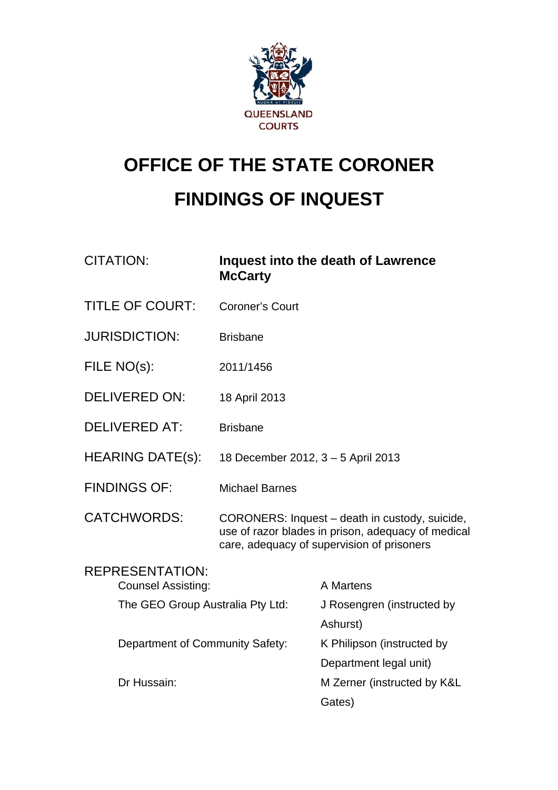

# **OFFICE OF THE STATE CORONER FINDINGS OF INQUEST**

| <b>CITATION:</b>                                    | <b>McCarty</b>                     | <b>Inquest into the death of Lawrence</b>                                                                                                          |
|-----------------------------------------------------|------------------------------------|----------------------------------------------------------------------------------------------------------------------------------------------------|
| <b>TITLE OF COURT:</b>                              | <b>Coroner's Court</b>             |                                                                                                                                                    |
| <b>JURISDICTION:</b>                                | <b>Brisbane</b>                    |                                                                                                                                                    |
| FILE NO(s):                                         | 2011/1456                          |                                                                                                                                                    |
| <b>DELIVERED ON:</b>                                | 18 April 2013                      |                                                                                                                                                    |
| <b>DELIVERED AT:</b>                                | <b>Brisbane</b>                    |                                                                                                                                                    |
| <b>HEARING DATE(s):</b>                             | 18 December 2012, 3 - 5 April 2013 |                                                                                                                                                    |
| <b>FINDINGS OF:</b>                                 | <b>Michael Barnes</b>              |                                                                                                                                                    |
| <b>CATCHWORDS:</b>                                  |                                    | CORONERS: Inquest – death in custody, suicide,<br>use of razor blades in prison, adequacy of medical<br>care, adequacy of supervision of prisoners |
| <b>REPRESENTATION:</b><br><b>Counsel Assisting:</b> |                                    | A Martens                                                                                                                                          |
| The GEO Group Australia Pty Ltd:                    |                                    | J Rosengren (instructed by                                                                                                                         |
|                                                     |                                    | Ashurst)                                                                                                                                           |
| Department of Community Safety:                     |                                    | K Philipson (instructed by                                                                                                                         |
|                                                     |                                    | Department legal unit)                                                                                                                             |
| Dr Hussain:                                         |                                    | M Zerner (instructed by K&L                                                                                                                        |
|                                                     |                                    | Gates)                                                                                                                                             |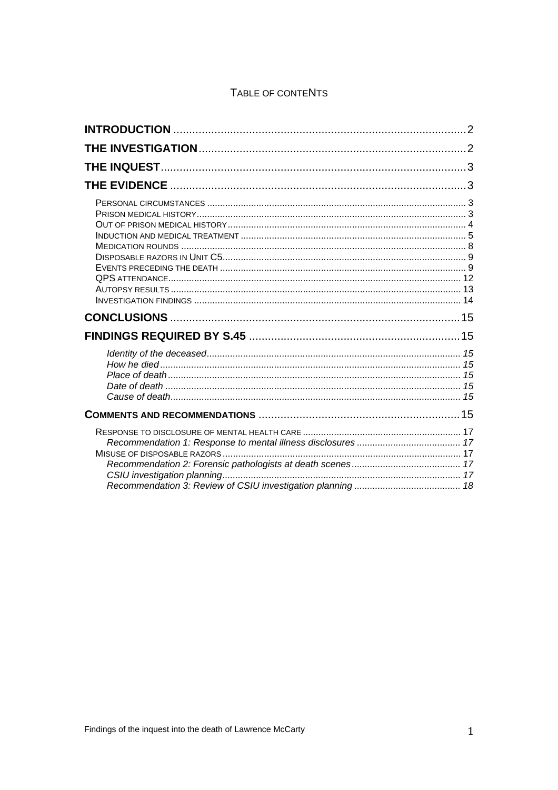## TABLE OF CONTENTS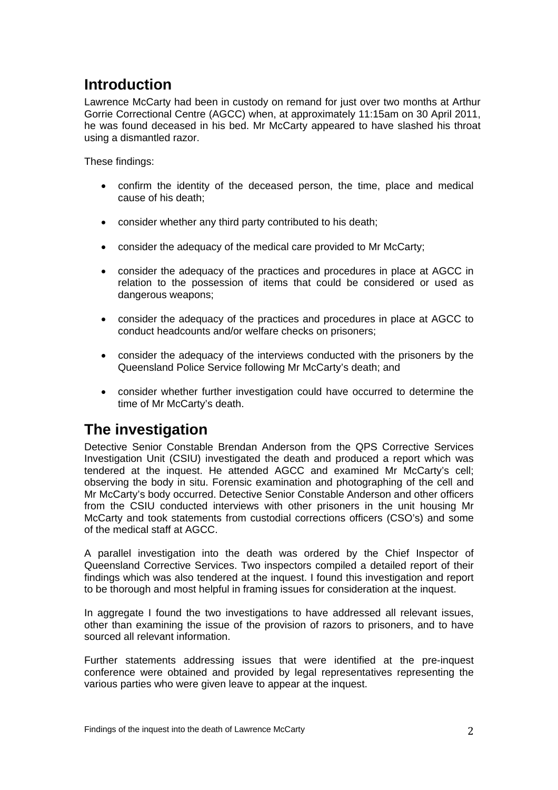# <span id="page-2-0"></span>**Introduction**

Lawrence McCarty had been in custody on remand for just over two months at Arthur Gorrie Correctional Centre (AGCC) when, at approximately 11:15am on 30 April 2011, he was found deceased in his bed. Mr McCarty appeared to have slashed his throat using a dismantled razor.

These findings:

- confirm the identity of the deceased person, the time, place and medical cause of his death;
- consider whether any third party contributed to his death;
- consider the adequacy of the medical care provided to Mr McCarty;
- consider the adequacy of the practices and procedures in place at AGCC in relation to the possession of items that could be considered or used as dangerous weapons;
- consider the adequacy of the practices and procedures in place at AGCC to conduct headcounts and/or welfare checks on prisoners;
- consider the adequacy of the interviews conducted with the prisoners by the Queensland Police Service following Mr McCarty's death; and
- consider whether further investigation could have occurred to determine the time of Mr McCarty's death.

# **The investigation**

Detective Senior Constable Brendan Anderson from the QPS Corrective Services Investigation Unit (CSIU) investigated the death and produced a report which was tendered at the inquest. He attended AGCC and examined Mr McCarty's cell; observing the body in situ. Forensic examination and photographing of the cell and Mr McCarty's body occurred. Detective Senior Constable Anderson and other officers from the CSIU conducted interviews with other prisoners in the unit housing Mr McCarty and took statements from custodial corrections officers (CSO's) and some of the medical staff at AGCC.

A parallel investigation into the death was ordered by the Chief Inspector of Queensland Corrective Services. Two inspectors compiled a detailed report of their findings which was also tendered at the inquest. I found this investigation and report to be thorough and most helpful in framing issues for consideration at the inquest.

In aggregate I found the two investigations to have addressed all relevant issues, other than examining the issue of the provision of razors to prisoners, and to have sourced all relevant information.

Further statements addressing issues that were identified at the pre-inquest conference were obtained and provided by legal representatives representing the various parties who were given leave to appear at the inquest.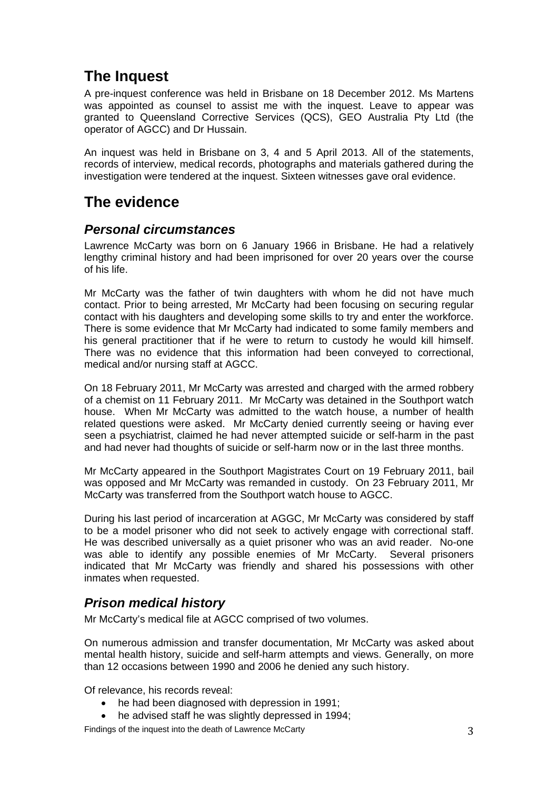# <span id="page-3-0"></span>**The Inquest**

A pre-inquest conference was held in Brisbane on 18 December 2012. Ms Martens was appointed as counsel to assist me with the inquest. Leave to appear was granted to Queensland Corrective Services (QCS), GEO Australia Pty Ltd (the operator of AGCC) and Dr Hussain.

An inquest was held in Brisbane on 3, 4 and 5 April 2013. All of the statements, records of interview, medical records, photographs and materials gathered during the investigation were tendered at the inquest. Sixteen witnesses gave oral evidence.

# **The evidence**

### *Personal circumstances*

Lawrence McCarty was born on 6 January 1966 in Brisbane. He had a relatively lengthy criminal history and had been imprisoned for over 20 years over the course of his life.

Mr McCarty was the father of twin daughters with whom he did not have much contact. Prior to being arrested, Mr McCarty had been focusing on securing regular contact with his daughters and developing some skills to try and enter the workforce. There is some evidence that Mr McCarty had indicated to some family members and his general practitioner that if he were to return to custody he would kill himself. There was no evidence that this information had been conveyed to correctional, medical and/or nursing staff at AGCC.

On 18 February 2011, Mr McCarty was arrested and charged with the armed robbery of a chemist on 11 February 2011. Mr McCarty was detained in the Southport watch house. When Mr McCarty was admitted to the watch house, a number of health related questions were asked. Mr McCarty denied currently seeing or having ever seen a psychiatrist, claimed he had never attempted suicide or self-harm in the past and had never had thoughts of suicide or self-harm now or in the last three months.

Mr McCarty appeared in the Southport Magistrates Court on 19 February 2011, bail was opposed and Mr McCarty was remanded in custody. On 23 February 2011, Mr McCarty was transferred from the Southport watch house to AGCC.

During his last period of incarceration at AGGC, Mr McCarty was considered by staff to be a model prisoner who did not seek to actively engage with correctional staff. He was described universally as a quiet prisoner who was an avid reader. No-one was able to identify any possible enemies of Mr McCarty. Several prisoners indicated that Mr McCarty was friendly and shared his possessions with other inmates when requested.

## *Prison medical history*

Mr McCarty's medical file at AGCC comprised of two volumes.

On numerous admission and transfer documentation, Mr McCarty was asked about mental health history, suicide and self-harm attempts and views. Generally, on more than 12 occasions between 1990 and 2006 he denied any such history.

Of relevance, his records reveal:

- he had been diagnosed with depression in 1991;
- he advised staff he was slightly depressed in 1994;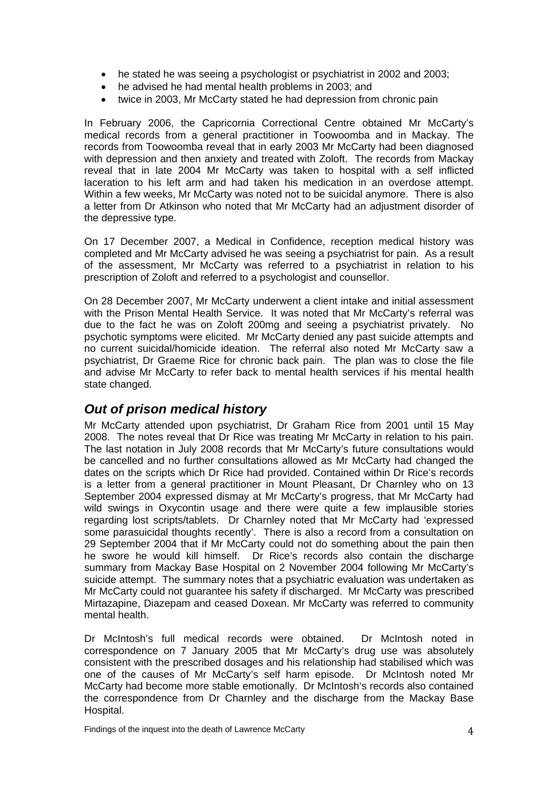- <span id="page-4-0"></span>• he stated he was seeing a psychologist or psychiatrist in 2002 and 2003;
- he advised he had mental health problems in 2003; and
- twice in 2003, Mr McCarty stated he had depression from chronic pain

In February 2006, the Capricornia Correctional Centre obtained Mr McCarty's medical records from a general practitioner in Toowoomba and in Mackay. The records from Toowoomba reveal that in early 2003 Mr McCarty had been diagnosed with depression and then anxiety and treated with Zoloft. The records from Mackay reveal that in late 2004 Mr McCarty was taken to hospital with a self inflicted laceration to his left arm and had taken his medication in an overdose attempt. Within a few weeks, Mr McCarty was noted not to be suicidal anymore. There is also a letter from Dr Atkinson who noted that Mr McCarty had an adjustment disorder of the depressive type.

On 17 December 2007, a Medical in Confidence, reception medical history was completed and Mr McCarty advised he was seeing a psychiatrist for pain. As a result of the assessment, Mr McCarty was referred to a psychiatrist in relation to his prescription of Zoloft and referred to a psychologist and counsellor.

On 28 December 2007, Mr McCarty underwent a client intake and initial assessment with the Prison Mental Health Service. It was noted that Mr McCarty's referral was due to the fact he was on Zoloft 200mg and seeing a psychiatrist privately. No psychotic symptoms were elicited. Mr McCarty denied any past suicide attempts and no current suicidal/homicide ideation. The referral also noted Mr McCarty saw a psychiatrist, Dr Graeme Rice for chronic back pain. The plan was to close the file and advise Mr McCarty to refer back to mental health services if his mental health state changed.

### *Out of prison medical history*

Mr McCarty attended upon psychiatrist, Dr Graham Rice from 2001 until 15 May 2008. The notes reveal that Dr Rice was treating Mr McCarty in relation to his pain. The last notation in July 2008 records that Mr McCarty's future consultations would be cancelled and no further consultations allowed as Mr McCarty had changed the dates on the scripts which Dr Rice had provided. Contained within Dr Rice's records is a letter from a general practitioner in Mount Pleasant, Dr Charnley who on 13 September 2004 expressed dismay at Mr McCarty's progress, that Mr McCarty had wild swings in Oxycontin usage and there were quite a few implausible stories regarding lost scripts/tablets. Dr Charnley noted that Mr McCarty had 'expressed some parasuicidal thoughts recently'. There is also a record from a consultation on 29 September 2004 that if Mr McCarty could not do something about the pain then he swore he would kill himself. Dr Rice's records also contain the discharge summary from Mackay Base Hospital on 2 November 2004 following Mr McCarty's suicide attempt. The summary notes that a psychiatric evaluation was undertaken as Mr McCarty could not guarantee his safety if discharged. Mr McCarty was prescribed Mirtazapine, Diazepam and ceased Doxean. Mr McCarty was referred to community mental health.

Dr McIntosh's full medical records were obtained. Dr McIntosh noted in correspondence on 7 January 2005 that Mr McCarty's drug use was absolutely consistent with the prescribed dosages and his relationship had stabilised which was one of the causes of Mr McCarty's self harm episode. Dr McIntosh noted Mr McCarty had become more stable emotionally. Dr McIntosh's records also contained the correspondence from Dr Charnley and the discharge from the Mackay Base Hospital.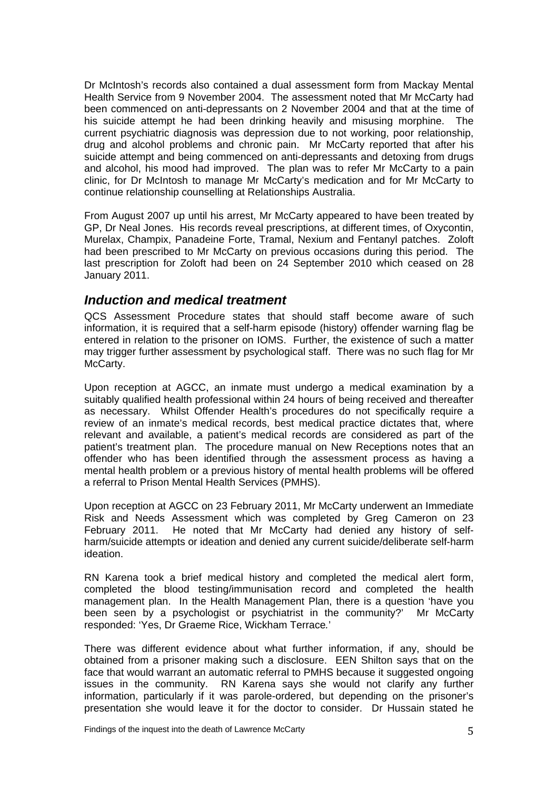<span id="page-5-0"></span>Dr McIntosh's records also contained a dual assessment form from Mackay Mental Health Service from 9 November 2004. The assessment noted that Mr McCarty had been commenced on anti-depressants on 2 November 2004 and that at the time of his suicide attempt he had been drinking heavily and misusing morphine. The current psychiatric diagnosis was depression due to not working, poor relationship, drug and alcohol problems and chronic pain. Mr McCarty reported that after his suicide attempt and being commenced on anti-depressants and detoxing from drugs and alcohol, his mood had improved. The plan was to refer Mr McCarty to a pain clinic, for Dr McIntosh to manage Mr McCarty's medication and for Mr McCarty to continue relationship counselling at Relationships Australia.

From August 2007 up until his arrest, Mr McCarty appeared to have been treated by GP, Dr Neal Jones. His records reveal prescriptions, at different times, of Oxycontin, Murelax, Champix, Panadeine Forte, Tramal, Nexium and Fentanyl patches. Zoloft had been prescribed to Mr McCarty on previous occasions during this period. The last prescription for Zoloft had been on 24 September 2010 which ceased on 28 January 2011.

#### *Induction and medical treatment*

QCS Assessment Procedure states that should staff become aware of such information, it is required that a self-harm episode (history) offender warning flag be entered in relation to the prisoner on IOMS. Further, the existence of such a matter may trigger further assessment by psychological staff. There was no such flag for Mr McCarty.

Upon reception at AGCC, an inmate must undergo a medical examination by a suitably qualified health professional within 24 hours of being received and thereafter as necessary. Whilst Offender Health's procedures do not specifically require a review of an inmate's medical records, best medical practice dictates that, where relevant and available, a patient's medical records are considered as part of the patient's treatment plan. The procedure manual on New Receptions notes that an offender who has been identified through the assessment process as having a mental health problem or a previous history of mental health problems will be offered a referral to Prison Mental Health Services (PMHS).

Upon reception at AGCC on 23 February 2011, Mr McCarty underwent an Immediate Risk and Needs Assessment which was completed by Greg Cameron on 23 February 2011. He noted that Mr McCarty had denied any history of selfharm/suicide attempts or ideation and denied any current suicide/deliberate self-harm ideation.

RN Karena took a brief medical history and completed the medical alert form, completed the blood testing/immunisation record and completed the health management plan. In the Health Management Plan, there is a question 'have you been seen by a psychologist or psychiatrist in the community?' Mr McCarty responded: 'Yes, Dr Graeme Rice, Wickham Terrace*.*'

There was different evidence about what further information, if any, should be obtained from a prisoner making such a disclosure. EEN Shilton says that on the face that would warrant an automatic referral to PMHS because it suggested ongoing issues in the community. RN Karena says she would not clarify any further information, particularly if it was parole-ordered, but depending on the prisoner's presentation she would leave it for the doctor to consider. Dr Hussain stated he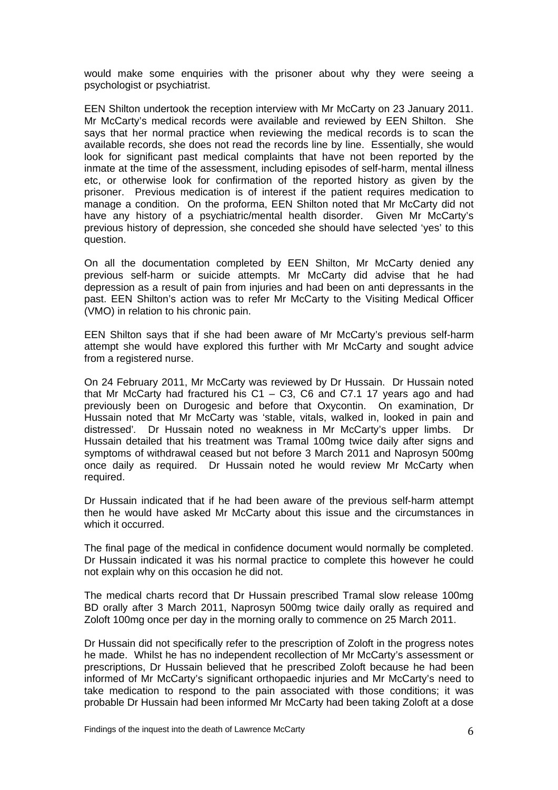would make some enquiries with the prisoner about why they were seeing a psychologist or psychiatrist.

EEN Shilton undertook the reception interview with Mr McCarty on 23 January 2011. Mr McCarty's medical records were available and reviewed by EEN Shilton. She says that her normal practice when reviewing the medical records is to scan the available records, she does not read the records line by line. Essentially, she would look for significant past medical complaints that have not been reported by the inmate at the time of the assessment, including episodes of self-harm, mental illness etc, or otherwise look for confirmation of the reported history as given by the prisoner. Previous medication is of interest if the patient requires medication to manage a condition. On the proforma, EEN Shilton noted that Mr McCarty did not have any history of a psychiatric/mental health disorder. Given Mr McCarty's previous history of depression, she conceded she should have selected 'yes' to this question.

On all the documentation completed by EEN Shilton, Mr McCarty denied any previous self-harm or suicide attempts. Mr McCarty did advise that he had depression as a result of pain from injuries and had been on anti depressants in the past. EEN Shilton's action was to refer Mr McCarty to the Visiting Medical Officer (VMO) in relation to his chronic pain.

EEN Shilton says that if she had been aware of Mr McCarty's previous self-harm attempt she would have explored this further with Mr McCarty and sought advice from a registered nurse.

On 24 February 2011, Mr McCarty was reviewed by Dr Hussain. Dr Hussain noted that Mr McCarty had fractured his C1 – C3, C6 and C7.1 17 years ago and had previously been on Durogesic and before that Oxycontin. On examination, Dr Hussain noted that Mr McCarty was 'stable, vitals, walked in, looked in pain and distressed'*.* Dr Hussain noted no weakness in Mr McCarty's upper limbs. Dr Hussain detailed that his treatment was Tramal 100mg twice daily after signs and symptoms of withdrawal ceased but not before 3 March 2011 and Naprosyn 500mg once daily as required. Dr Hussain noted he would review Mr McCarty when required.

Dr Hussain indicated that if he had been aware of the previous self-harm attempt then he would have asked Mr McCarty about this issue and the circumstances in which it occurred.

The final page of the medical in confidence document would normally be completed. Dr Hussain indicated it was his normal practice to complete this however he could not explain why on this occasion he did not.

The medical charts record that Dr Hussain prescribed Tramal slow release 100mg BD orally after 3 March 2011, Naprosyn 500mg twice daily orally as required and Zoloft 100mg once per day in the morning orally to commence on 25 March 2011.

Dr Hussain did not specifically refer to the prescription of Zoloft in the progress notes he made. Whilst he has no independent recollection of Mr McCarty's assessment or prescriptions, Dr Hussain believed that he prescribed Zoloft because he had been informed of Mr McCarty's significant orthopaedic injuries and Mr McCarty's need to take medication to respond to the pain associated with those conditions; it was probable Dr Hussain had been informed Mr McCarty had been taking Zoloft at a dose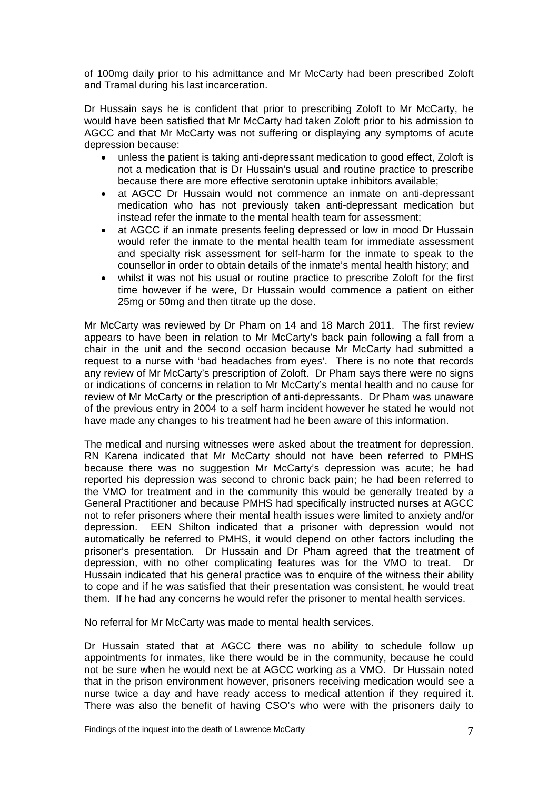of 100mg daily prior to his admittance and Mr McCarty had been prescribed Zoloft and Tramal during his last incarceration.

Dr Hussain says he is confident that prior to prescribing Zoloft to Mr McCarty, he would have been satisfied that Mr McCarty had taken Zoloft prior to his admission to AGCC and that Mr McCarty was not suffering or displaying any symptoms of acute depression because:

- unless the patient is taking anti-depressant medication to good effect, Zoloft is not a medication that is Dr Hussain's usual and routine practice to prescribe because there are more effective serotonin uptake inhibitors available;
- at AGCC Dr Hussain would not commence an inmate on anti-depressant medication who has not previously taken anti-depressant medication but instead refer the inmate to the mental health team for assessment;
- at AGCC if an inmate presents feeling depressed or low in mood Dr Hussain would refer the inmate to the mental health team for immediate assessment and specialty risk assessment for self-harm for the inmate to speak to the counsellor in order to obtain details of the inmate's mental health history; and
- whilst it was not his usual or routine practice to prescribe Zoloft for the first time however if he were, Dr Hussain would commence a patient on either 25mg or 50mg and then titrate up the dose.

Mr McCarty was reviewed by Dr Pham on 14 and 18 March 2011. The first review appears to have been in relation to Mr McCarty's back pain following a fall from a chair in the unit and the second occasion because Mr McCarty had submitted a request to a nurse with 'bad headaches from eyes'. There is no note that records any review of Mr McCarty's prescription of Zoloft. Dr Pham says there were no signs or indications of concerns in relation to Mr McCarty's mental health and no cause for review of Mr McCarty or the prescription of anti-depressants. Dr Pham was unaware of the previous entry in 2004 to a self harm incident however he stated he would not have made any changes to his treatment had he been aware of this information.

The medical and nursing witnesses were asked about the treatment for depression. RN Karena indicated that Mr McCarty should not have been referred to PMHS because there was no suggestion Mr McCarty's depression was acute; he had reported his depression was second to chronic back pain; he had been referred to the VMO for treatment and in the community this would be generally treated by a General Practitioner and because PMHS had specifically instructed nurses at AGCC not to refer prisoners where their mental health issues were limited to anxiety and/or depression. EEN Shilton indicated that a prisoner with depression would not automatically be referred to PMHS, it would depend on other factors including the prisoner's presentation. Dr Hussain and Dr Pham agreed that the treatment of depression, with no other complicating features was for the VMO to treat. Dr Hussain indicated that his general practice was to enquire of the witness their ability to cope and if he was satisfied that their presentation was consistent, he would treat them. If he had any concerns he would refer the prisoner to mental health services.

No referral for Mr McCarty was made to mental health services.

Dr Hussain stated that at AGCC there was no ability to schedule follow up appointments for inmates, like there would be in the community, because he could not be sure when he would next be at AGCC working as a VMO. Dr Hussain noted that in the prison environment however, prisoners receiving medication would see a nurse twice a day and have ready access to medical attention if they required it. There was also the benefit of having CSO's who were with the prisoners daily to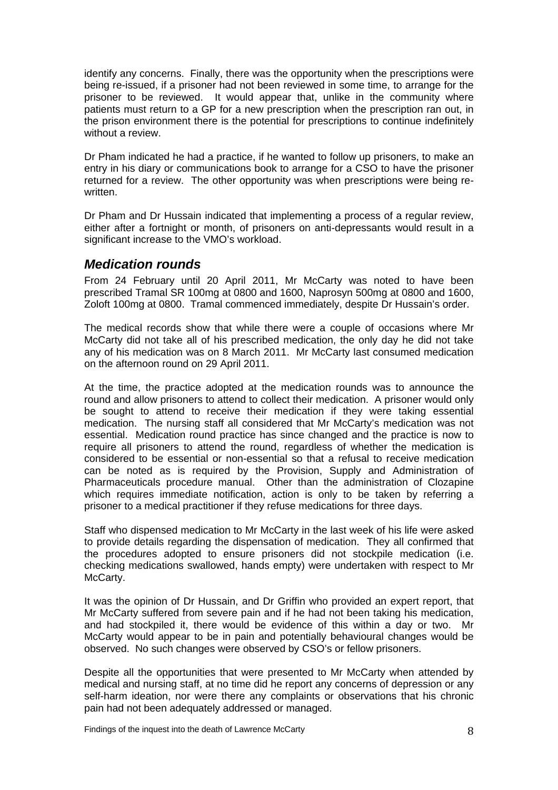<span id="page-8-0"></span>identify any concerns. Finally, there was the opportunity when the prescriptions were being re-issued, if a prisoner had not been reviewed in some time, to arrange for the prisoner to be reviewed. It would appear that, unlike in the community where patients must return to a GP for a new prescription when the prescription ran out, in the prison environment there is the potential for prescriptions to continue indefinitely without a review.

Dr Pham indicated he had a practice, if he wanted to follow up prisoners, to make an entry in his diary or communications book to arrange for a CSO to have the prisoner returned for a review. The other opportunity was when prescriptions were being rewritten.

Dr Pham and Dr Hussain indicated that implementing a process of a regular review, either after a fortnight or month, of prisoners on anti-depressants would result in a significant increase to the VMO's workload.

#### *Medication rounds*

From 24 February until 20 April 2011, Mr McCarty was noted to have been prescribed Tramal SR 100mg at 0800 and 1600, Naprosyn 500mg at 0800 and 1600, Zoloft 100mg at 0800. Tramal commenced immediately, despite Dr Hussain's order.

The medical records show that while there were a couple of occasions where Mr McCarty did not take all of his prescribed medication, the only day he did not take any of his medication was on 8 March 2011. Mr McCarty last consumed medication on the afternoon round on 29 April 2011.

At the time, the practice adopted at the medication rounds was to announce the round and allow prisoners to attend to collect their medication. A prisoner would only be sought to attend to receive their medication if they were taking essential medication. The nursing staff all considered that Mr McCarty's medication was not essential. Medication round practice has since changed and the practice is now to require all prisoners to attend the round, regardless of whether the medication is considered to be essential or non-essential so that a refusal to receive medication can be noted as is required by the Provision, Supply and Administration of Pharmaceuticals procedure manual. Other than the administration of Clozapine which requires immediate notification, action is only to be taken by referring a prisoner to a medical practitioner if they refuse medications for three days.

Staff who dispensed medication to Mr McCarty in the last week of his life were asked to provide details regarding the dispensation of medication. They all confirmed that the procedures adopted to ensure prisoners did not stockpile medication (i.e. checking medications swallowed, hands empty) were undertaken with respect to Mr McCarty.

It was the opinion of Dr Hussain, and Dr Griffin who provided an expert report, that Mr McCarty suffered from severe pain and if he had not been taking his medication, and had stockpiled it, there would be evidence of this within a day or two. Mr McCarty would appear to be in pain and potentially behavioural changes would be observed. No such changes were observed by CSO's or fellow prisoners.

Despite all the opportunities that were presented to Mr McCarty when attended by medical and nursing staff, at no time did he report any concerns of depression or any self-harm ideation, nor were there any complaints or observations that his chronic pain had not been adequately addressed or managed.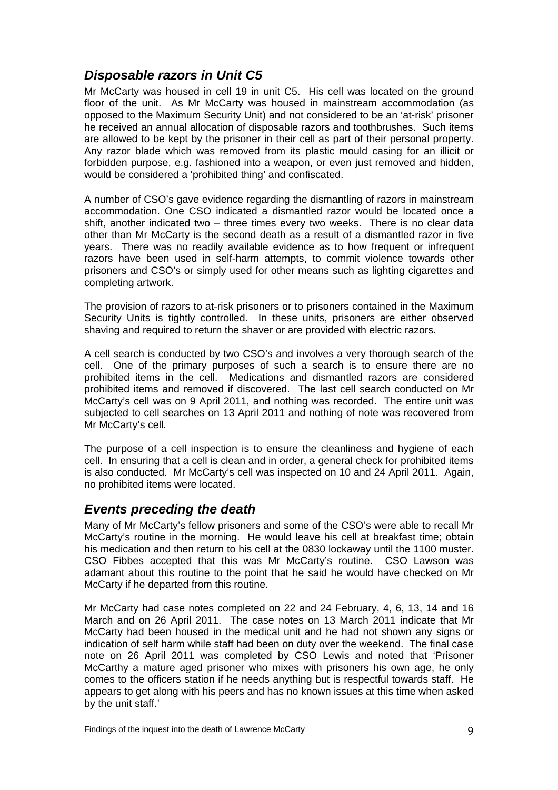## <span id="page-9-0"></span>*Disposable razors in Unit C5*

Mr McCarty was housed in cell 19 in unit C5. His cell was located on the ground floor of the unit. As Mr McCarty was housed in mainstream accommodation (as opposed to the Maximum Security Unit) and not considered to be an 'at-risk' prisoner he received an annual allocation of disposable razors and toothbrushes. Such items are allowed to be kept by the prisoner in their cell as part of their personal property. Any razor blade which was removed from its plastic mould casing for an illicit or forbidden purpose, e.g. fashioned into a weapon, or even just removed and hidden, would be considered a 'prohibited thing' and confiscated.

A number of CSO's gave evidence regarding the dismantling of razors in mainstream accommodation. One CSO indicated a dismantled razor would be located once a shift, another indicated two – three times every two weeks. There is no clear data other than Mr McCarty is the second death as a result of a dismantled razor in five years. There was no readily available evidence as to how frequent or infrequent razors have been used in self-harm attempts, to commit violence towards other prisoners and CSO's or simply used for other means such as lighting cigarettes and completing artwork.

The provision of razors to at-risk prisoners or to prisoners contained in the Maximum Security Units is tightly controlled. In these units, prisoners are either observed shaving and required to return the shaver or are provided with electric razors.

A cell search is conducted by two CSO's and involves a very thorough search of the cell. One of the primary purposes of such a search is to ensure there are no prohibited items in the cell. Medications and dismantled razors are considered prohibited items and removed if discovered. The last cell search conducted on Mr McCarty's cell was on 9 April 2011, and nothing was recorded. The entire unit was subjected to cell searches on 13 April 2011 and nothing of note was recovered from Mr McCarty's cell.

The purpose of a cell inspection is to ensure the cleanliness and hygiene of each cell. In ensuring that a cell is clean and in order, a general check for prohibited items is also conducted. Mr McCarty's cell was inspected on 10 and 24 April 2011. Again, no prohibited items were located.

### *Events preceding the death*

Many of Mr McCarty's fellow prisoners and some of the CSO's were able to recall Mr McCarty's routine in the morning. He would leave his cell at breakfast time; obtain his medication and then return to his cell at the 0830 lockaway until the 1100 muster. CSO Fibbes accepted that this was Mr McCarty's routine. CSO Lawson was adamant about this routine to the point that he said he would have checked on Mr McCarty if he departed from this routine.

Mr McCarty had case notes completed on 22 and 24 February, 4, 6, 13, 14 and 16 March and on 26 April 2011. The case notes on 13 March 2011 indicate that Mr McCarty had been housed in the medical unit and he had not shown any signs or indication of self harm while staff had been on duty over the weekend. The final case note on 26 April 2011 was completed by CSO Lewis and noted that 'Prisoner McCarthy a mature aged prisoner who mixes with prisoners his own age, he only comes to the officers station if he needs anything but is respectful towards staff. He appears to get along with his peers and has no known issues at this time when asked by the unit staff.'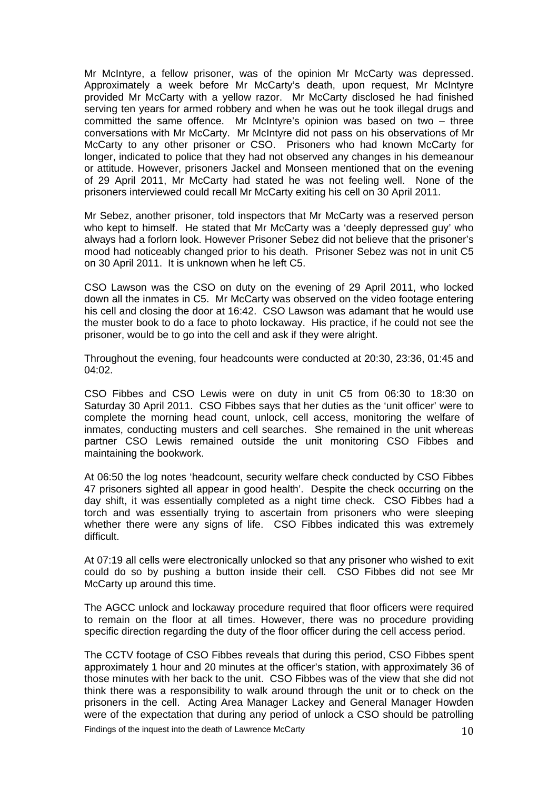Mr McIntyre, a fellow prisoner, was of the opinion Mr McCarty was depressed. Approximately a week before Mr McCarty's death, upon request, Mr McIntyre provided Mr McCarty with a yellow razor. Mr McCarty disclosed he had finished serving ten years for armed robbery and when he was out he took illegal drugs and committed the same offence. Mr McIntyre's opinion was based on two - three conversations with Mr McCarty. Mr McIntyre did not pass on his observations of Mr McCarty to any other prisoner or CSO. Prisoners who had known McCarty for longer, indicated to police that they had not observed any changes in his demeanour or attitude. However, prisoners Jackel and Monseen mentioned that on the evening of 29 April 2011, Mr McCarty had stated he was not feeling well. None of the prisoners interviewed could recall Mr McCarty exiting his cell on 30 April 2011.

Mr Sebez, another prisoner, told inspectors that Mr McCarty was a reserved person who kept to himself. He stated that Mr McCarty was a 'deeply depressed guy' who always had a forlorn look. However Prisoner Sebez did not believe that the prisoner's mood had noticeably changed prior to his death. Prisoner Sebez was not in unit C5 on 30 April 2011. It is unknown when he left C5.

CSO Lawson was the CSO on duty on the evening of 29 April 2011, who locked down all the inmates in C5. Mr McCarty was observed on the video footage entering his cell and closing the door at 16:42. CSO Lawson was adamant that he would use the muster book to do a face to photo lockaway. His practice, if he could not see the prisoner, would be to go into the cell and ask if they were alright.

Throughout the evening, four headcounts were conducted at 20:30, 23:36, 01:45 and 04:02.

CSO Fibbes and CSO Lewis were on duty in unit C5 from 06:30 to 18:30 on Saturday 30 April 2011. CSO Fibbes says that her duties as the 'unit officer' were to complete the morning head count, unlock, cell access, monitoring the welfare of inmates, conducting musters and cell searches. She remained in the unit whereas partner CSO Lewis remained outside the unit monitoring CSO Fibbes and maintaining the bookwork.

At 06:50 the log notes 'headcount, security welfare check conducted by CSO Fibbes 47 prisoners sighted all appear in good health'. Despite the check occurring on the day shift, it was essentially completed as a night time check. CSO Fibbes had a torch and was essentially trying to ascertain from prisoners who were sleeping whether there were any signs of life. CSO Fibbes indicated this was extremely difficult.

At 07:19 all cells were electronically unlocked so that any prisoner who wished to exit could do so by pushing a button inside their cell. CSO Fibbes did not see Mr McCarty up around this time.

The AGCC unlock and lockaway procedure required that floor officers were required to remain on the floor at all times. However, there was no procedure providing specific direction regarding the duty of the floor officer during the cell access period.

The CCTV footage of CSO Fibbes reveals that during this period, CSO Fibbes spent approximately 1 hour and 20 minutes at the officer's station, with approximately 36 of those minutes with her back to the unit. CSO Fibbes was of the view that she did not think there was a responsibility to walk around through the unit or to check on the prisoners in the cell. Acting Area Manager Lackey and General Manager Howden were of the expectation that during any period of unlock a CSO should be patrolling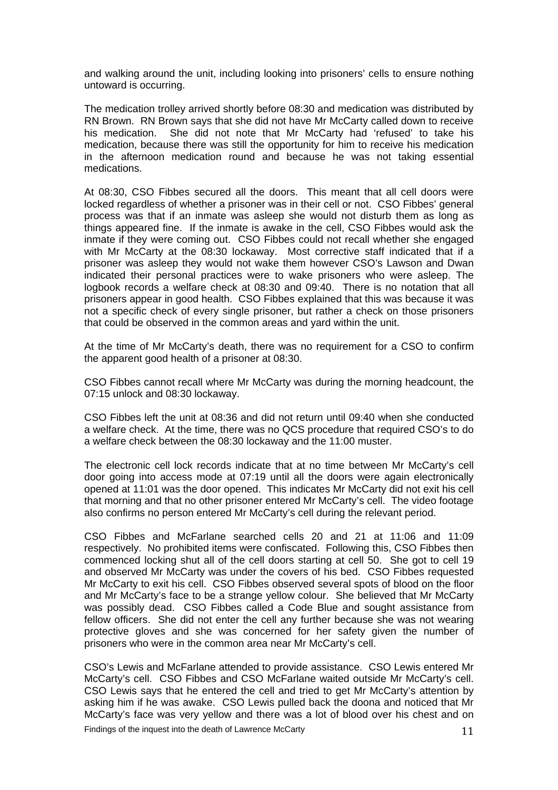and walking around the unit, including looking into prisoners' cells to ensure nothing untoward is occurring.

The medication trolley arrived shortly before 08:30 and medication was distributed by RN Brown. RN Brown says that she did not have Mr McCarty called down to receive his medication. She did not note that Mr McCarty had 'refused' to take his medication, because there was still the opportunity for him to receive his medication in the afternoon medication round and because he was not taking essential medications.

At 08:30, CSO Fibbes secured all the doors. This meant that all cell doors were locked regardless of whether a prisoner was in their cell or not. CSO Fibbes' general process was that if an inmate was asleep she would not disturb them as long as things appeared fine. If the inmate is awake in the cell, CSO Fibbes would ask the inmate if they were coming out. CSO Fibbes could not recall whether she engaged with Mr McCarty at the 08:30 lockaway. Most corrective staff indicated that if a prisoner was asleep they would not wake them however CSO's Lawson and Dwan indicated their personal practices were to wake prisoners who were asleep. The logbook records a welfare check at 08:30 and 09:40. There is no notation that all prisoners appear in good health. CSO Fibbes explained that this was because it was not a specific check of every single prisoner, but rather a check on those prisoners that could be observed in the common areas and yard within the unit.

At the time of Mr McCarty's death, there was no requirement for a CSO to confirm the apparent good health of a prisoner at 08:30.

CSO Fibbes cannot recall where Mr McCarty was during the morning headcount, the 07:15 unlock and 08:30 lockaway.

CSO Fibbes left the unit at 08:36 and did not return until 09:40 when she conducted a welfare check. At the time, there was no QCS procedure that required CSO's to do a welfare check between the 08:30 lockaway and the 11:00 muster.

The electronic cell lock records indicate that at no time between Mr McCarty's cell door going into access mode at 07:19 until all the doors were again electronically opened at 11:01 was the door opened. This indicates Mr McCarty did not exit his cell that morning and that no other prisoner entered Mr McCarty's cell. The video footage also confirms no person entered Mr McCarty's cell during the relevant period.

CSO Fibbes and McFarlane searched cells 20 and 21 at 11:06 and 11:09 respectively. No prohibited items were confiscated. Following this, CSO Fibbes then commenced locking shut all of the cell doors starting at cell 50. She got to cell 19 and observed Mr McCarty was under the covers of his bed. CSO Fibbes requested Mr McCarty to exit his cell. CSO Fibbes observed several spots of blood on the floor and Mr McCarty's face to be a strange yellow colour. She believed that Mr McCarty was possibly dead. CSO Fibbes called a Code Blue and sought assistance from fellow officers. She did not enter the cell any further because she was not wearing protective gloves and she was concerned for her safety given the number of prisoners who were in the common area near Mr McCarty's cell.

CSO's Lewis and McFarlane attended to provide assistance. CSO Lewis entered Mr McCarty's cell. CSO Fibbes and CSO McFarlane waited outside Mr McCarty's cell. CSO Lewis says that he entered the cell and tried to get Mr McCarty's attention by asking him if he was awake. CSO Lewis pulled back the doona and noticed that Mr McCarty's face was very yellow and there was a lot of blood over his chest and on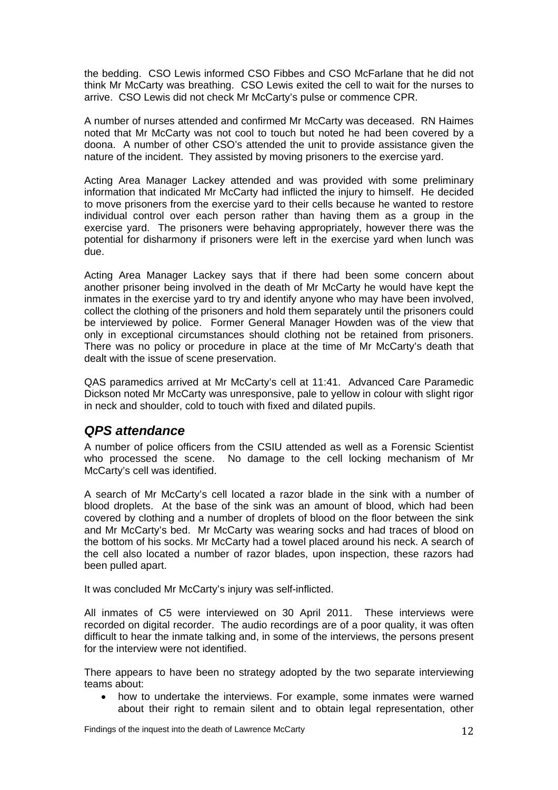<span id="page-12-0"></span>the bedding. CSO Lewis informed CSO Fibbes and CSO McFarlane that he did not think Mr McCarty was breathing. CSO Lewis exited the cell to wait for the nurses to arrive. CSO Lewis did not check Mr McCarty's pulse or commence CPR.

A number of nurses attended and confirmed Mr McCarty was deceased. RN Haimes noted that Mr McCarty was not cool to touch but noted he had been covered by a doona. A number of other CSO's attended the unit to provide assistance given the nature of the incident. They assisted by moving prisoners to the exercise yard.

Acting Area Manager Lackey attended and was provided with some preliminary information that indicated Mr McCarty had inflicted the injury to himself. He decided to move prisoners from the exercise yard to their cells because he wanted to restore individual control over each person rather than having them as a group in the exercise yard. The prisoners were behaving appropriately, however there was the potential for disharmony if prisoners were left in the exercise yard when lunch was due.

Acting Area Manager Lackey says that if there had been some concern about another prisoner being involved in the death of Mr McCarty he would have kept the inmates in the exercise yard to try and identify anyone who may have been involved, collect the clothing of the prisoners and hold them separately until the prisoners could be interviewed by police. Former General Manager Howden was of the view that only in exceptional circumstances should clothing not be retained from prisoners. There was no policy or procedure in place at the time of Mr McCarty's death that dealt with the issue of scene preservation.

QAS paramedics arrived at Mr McCarty's cell at 11:41. Advanced Care Paramedic Dickson noted Mr McCarty was unresponsive, pale to yellow in colour with slight rigor in neck and shoulder, cold to touch with fixed and dilated pupils.

#### *QPS attendance*

A number of police officers from the CSIU attended as well as a Forensic Scientist who processed the scene. No damage to the cell locking mechanism of Mr McCarty's cell was identified.

A search of Mr McCarty's cell located a razor blade in the sink with a number of blood droplets. At the base of the sink was an amount of blood, which had been covered by clothing and a number of droplets of blood on the floor between the sink and Mr McCarty's bed. Mr McCarty was wearing socks and had traces of blood on the bottom of his socks. Mr McCarty had a towel placed around his neck. A search of the cell also located a number of razor blades, upon inspection, these razors had been pulled apart.

It was concluded Mr McCarty's injury was self-inflicted.

All inmates of C5 were interviewed on 30 April 2011. These interviews were recorded on digital recorder. The audio recordings are of a poor quality, it was often difficult to hear the inmate talking and, in some of the interviews, the persons present for the interview were not identified.

There appears to have been no strategy adopted by the two separate interviewing teams about:

• how to undertake the interviews. For example, some inmates were warned about their right to remain silent and to obtain legal representation, other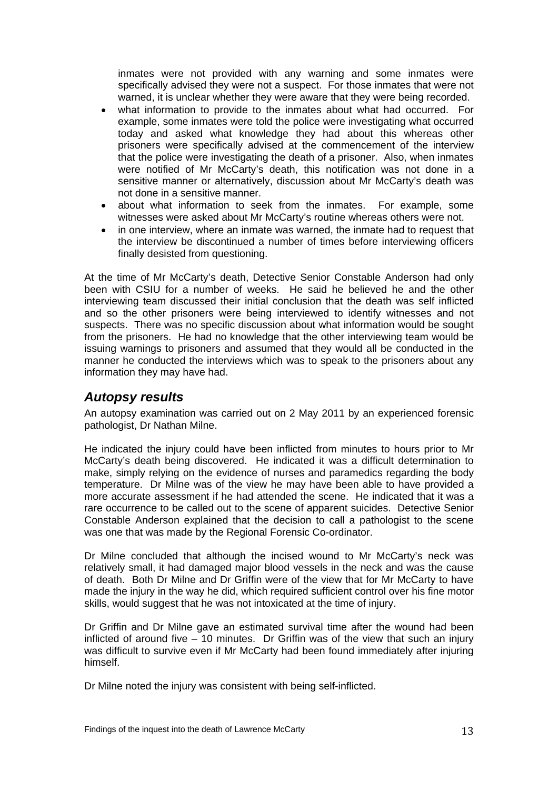<span id="page-13-0"></span>inmates were not provided with any warning and some inmates were specifically advised they were not a suspect. For those inmates that were not warned, it is unclear whether they were aware that they were being recorded.

- what information to provide to the inmates about what had occurred. For example, some inmates were told the police were investigating what occurred today and asked what knowledge they had about this whereas other prisoners were specifically advised at the commencement of the interview that the police were investigating the death of a prisoner. Also, when inmates were notified of Mr McCarty's death, this notification was not done in a sensitive manner or alternatively, discussion about Mr McCarty's death was not done in a sensitive manner.
- about what information to seek from the inmates. For example, some witnesses were asked about Mr McCarty's routine whereas others were not.
- in one interview, where an inmate was warned, the inmate had to request that the interview be discontinued a number of times before interviewing officers finally desisted from questioning.

At the time of Mr McCarty's death, Detective Senior Constable Anderson had only been with CSIU for a number of weeks. He said he believed he and the other interviewing team discussed their initial conclusion that the death was self inflicted and so the other prisoners were being interviewed to identify witnesses and not suspects. There was no specific discussion about what information would be sought from the prisoners. He had no knowledge that the other interviewing team would be issuing warnings to prisoners and assumed that they would all be conducted in the manner he conducted the interviews which was to speak to the prisoners about any information they may have had.

#### *Autopsy results*

An autopsy examination was carried out on 2 May 2011 by an experienced forensic pathologist, Dr Nathan Milne.

He indicated the injury could have been inflicted from minutes to hours prior to Mr McCarty's death being discovered. He indicated it was a difficult determination to make, simply relying on the evidence of nurses and paramedics regarding the body temperature. Dr Milne was of the view he may have been able to have provided a more accurate assessment if he had attended the scene. He indicated that it was a rare occurrence to be called out to the scene of apparent suicides. Detective Senior Constable Anderson explained that the decision to call a pathologist to the scene was one that was made by the Regional Forensic Co-ordinator.

Dr Milne concluded that although the incised wound to Mr McCarty's neck was relatively small, it had damaged major blood vessels in the neck and was the cause of death. Both Dr Milne and Dr Griffin were of the view that for Mr McCarty to have made the injury in the way he did, which required sufficient control over his fine motor skills, would suggest that he was not intoxicated at the time of injury.

Dr Griffin and Dr Milne gave an estimated survival time after the wound had been inflicted of around five – 10 minutes. Dr Griffin was of the view that such an injury was difficult to survive even if Mr McCarty had been found immediately after injuring himself.

Dr Milne noted the injury was consistent with being self-inflicted.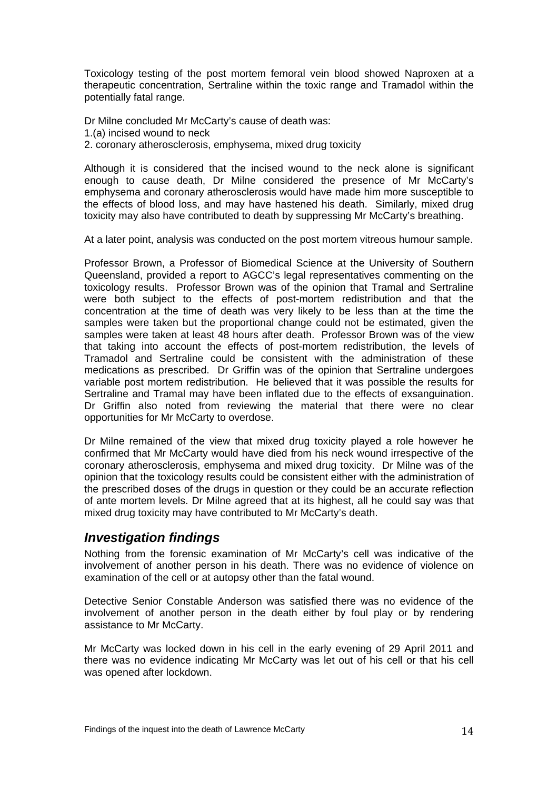<span id="page-14-0"></span>Toxicology testing of the post mortem femoral vein blood showed Naproxen at a therapeutic concentration, Sertraline within the toxic range and Tramadol within the potentially fatal range.

Dr Milne concluded Mr McCarty's cause of death was:

- 1.(a) incised wound to neck
- 2. coronary atherosclerosis, emphysema, mixed drug toxicity

Although it is considered that the incised wound to the neck alone is significant enough to cause death, Dr Milne considered the presence of Mr McCarty's emphysema and coronary atherosclerosis would have made him more susceptible to the effects of blood loss, and may have hastened his death. Similarly, mixed drug toxicity may also have contributed to death by suppressing Mr McCarty's breathing.

At a later point, analysis was conducted on the post mortem vitreous humour sample.

Professor Brown, a Professor of Biomedical Science at the University of Southern Queensland, provided a report to AGCC's legal representatives commenting on the toxicology results. Professor Brown was of the opinion that Tramal and Sertraline were both subject to the effects of post-mortem redistribution and that the concentration at the time of death was very likely to be less than at the time the samples were taken but the proportional change could not be estimated, given the samples were taken at least 48 hours after death. Professor Brown was of the view that taking into account the effects of post-mortem redistribution, the levels of Tramadol and Sertraline could be consistent with the administration of these medications as prescribed. Dr Griffin was of the opinion that Sertraline undergoes variable post mortem redistribution. He believed that it was possible the results for Sertraline and Tramal may have been inflated due to the effects of exsanguination. Dr Griffin also noted from reviewing the material that there were no clear opportunities for Mr McCarty to overdose.

Dr Milne remained of the view that mixed drug toxicity played a role however he confirmed that Mr McCarty would have died from his neck wound irrespective of the coronary atherosclerosis, emphysema and mixed drug toxicity. Dr Milne was of the opinion that the toxicology results could be consistent either with the administration of the prescribed doses of the drugs in question or they could be an accurate reflection of ante mortem levels. Dr Milne agreed that at its highest, all he could say was that mixed drug toxicity may have contributed to Mr McCarty's death.

#### *Investigation findings*

Nothing from the forensic examination of Mr McCarty's cell was indicative of the involvement of another person in his death. There was no evidence of violence on examination of the cell or at autopsy other than the fatal wound.

Detective Senior Constable Anderson was satisfied there was no evidence of the involvement of another person in the death either by foul play or by rendering assistance to Mr McCarty.

Mr McCarty was locked down in his cell in the early evening of 29 April 2011 and there was no evidence indicating Mr McCarty was let out of his cell or that his cell was opened after lockdown.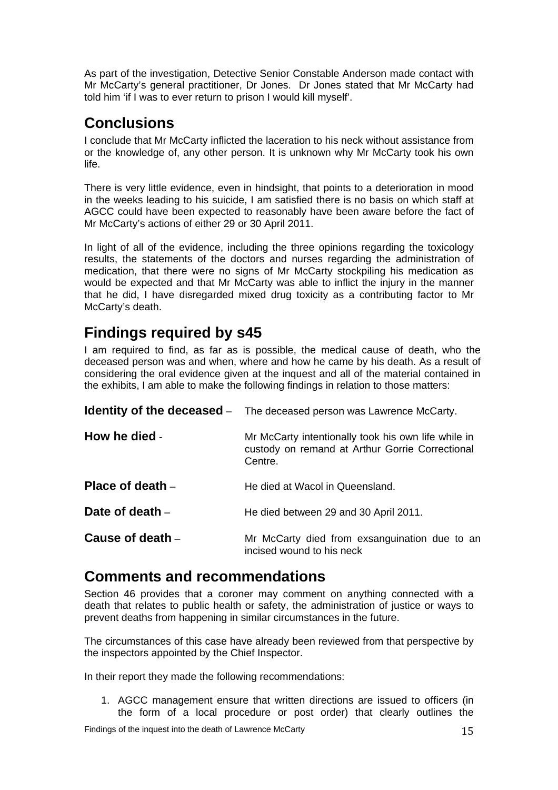<span id="page-15-0"></span>As part of the investigation, Detective Senior Constable Anderson made contact with Mr McCarty's general practitioner, Dr Jones. Dr Jones stated that Mr McCarty had told him 'if I was to ever return to prison I would kill myself'.

# **Conclusions**

I conclude that Mr McCarty inflicted the laceration to his neck without assistance from or the knowledge of, any other person. It is unknown why Mr McCarty took his own life.

There is very little evidence, even in hindsight, that points to a deterioration in mood in the weeks leading to his suicide, I am satisfied there is no basis on which staff at AGCC could have been expected to reasonably have been aware before the fact of Mr McCarty's actions of either 29 or 30 April 2011.

In light of all of the evidence, including the three opinions regarding the toxicology results, the statements of the doctors and nurses regarding the administration of medication, that there were no signs of Mr McCarty stockpiling his medication as would be expected and that Mr McCarty was able to inflict the injury in the manner that he did, I have disregarded mixed drug toxicity as a contributing factor to Mr McCarty's death.

# **Findings required by s45**

I am required to find, as far as is possible, the medical cause of death, who the deceased person was and when, where and how he came by his death. As a result of considering the oral evidence given at the inquest and all of the material contained in the exhibits, I am able to make the following findings in relation to those matters:

|                    | <b>Identity of the deceased</b> – The deceased person was Lawrence McCarty.                                       |
|--------------------|-------------------------------------------------------------------------------------------------------------------|
| How he died -      | Mr McCarty intentionally took his own life while in<br>custody on remand at Arthur Gorrie Correctional<br>Centre. |
| Place of death $-$ | He died at Wacol in Queensland.                                                                                   |
| Date of death -    | He died between 29 and 30 April 2011.                                                                             |
| Cause of death –   | Mr McCarty died from exsanguination due to an<br>incised wound to his neck                                        |

## **Comments and recommendations**

Section 46 provides that a coroner may comment on anything connected with a death that relates to public health or safety, the administration of justice or ways to prevent deaths from happening in similar circumstances in the future.

The circumstances of this case have already been reviewed from that perspective by the inspectors appointed by the Chief Inspector.

In their report they made the following recommendations:

1. AGCC management ensure that written directions are issued to officers (in the form of a local procedure or post order) that clearly outlines the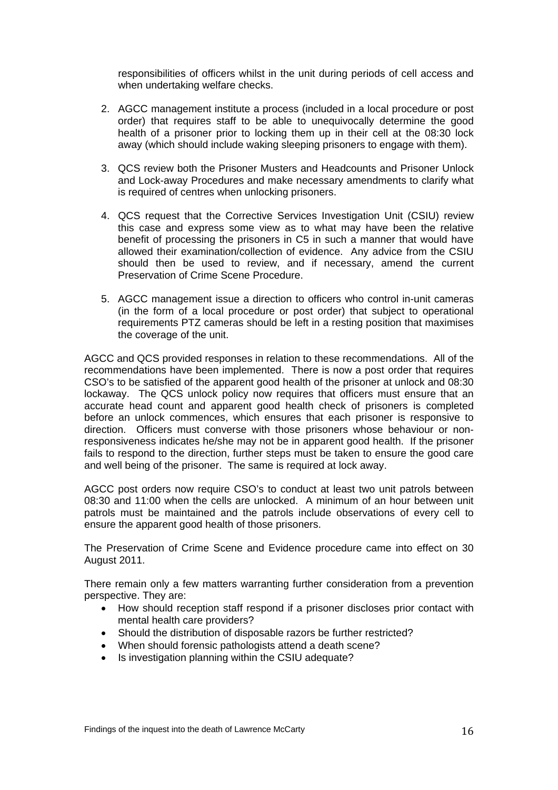responsibilities of officers whilst in the unit during periods of cell access and when undertaking welfare checks.

- 2. AGCC management institute a process (included in a local procedure or post order) that requires staff to be able to unequivocally determine the good health of a prisoner prior to locking them up in their cell at the 08:30 lock away (which should include waking sleeping prisoners to engage with them).
- 3. QCS review both the Prisoner Musters and Headcounts and Prisoner Unlock and Lock-away Procedures and make necessary amendments to clarify what is required of centres when unlocking prisoners.
- 4. QCS request that the Corrective Services Investigation Unit (CSIU) review this case and express some view as to what may have been the relative benefit of processing the prisoners in C5 in such a manner that would have allowed their examination/collection of evidence. Any advice from the CSIU should then be used to review, and if necessary, amend the current Preservation of Crime Scene Procedure.
- 5. AGCC management issue a direction to officers who control in-unit cameras (in the form of a local procedure or post order) that subject to operational requirements PTZ cameras should be left in a resting position that maximises the coverage of the unit.

AGCC and QCS provided responses in relation to these recommendations. All of the recommendations have been implemented. There is now a post order that requires CSO's to be satisfied of the apparent good health of the prisoner at unlock and 08:30 lockaway. The QCS unlock policy now requires that officers must ensure that an accurate head count and apparent good health check of prisoners is completed before an unlock commences, which ensures that each prisoner is responsive to direction. Officers must converse with those prisoners whose behaviour or nonresponsiveness indicates he/she may not be in apparent good health. If the prisoner fails to respond to the direction, further steps must be taken to ensure the good care and well being of the prisoner. The same is required at lock away.

AGCC post orders now require CSO's to conduct at least two unit patrols between 08:30 and 11:00 when the cells are unlocked. A minimum of an hour between unit patrols must be maintained and the patrols include observations of every cell to ensure the apparent good health of those prisoners.

The Preservation of Crime Scene and Evidence procedure came into effect on 30 August 2011.

There remain only a few matters warranting further consideration from a prevention perspective. They are:

- How should reception staff respond if a prisoner discloses prior contact with mental health care providers?
- Should the distribution of disposable razors be further restricted?
- When should forensic pathologists attend a death scene?
- Is investigation planning within the CSIU adequate?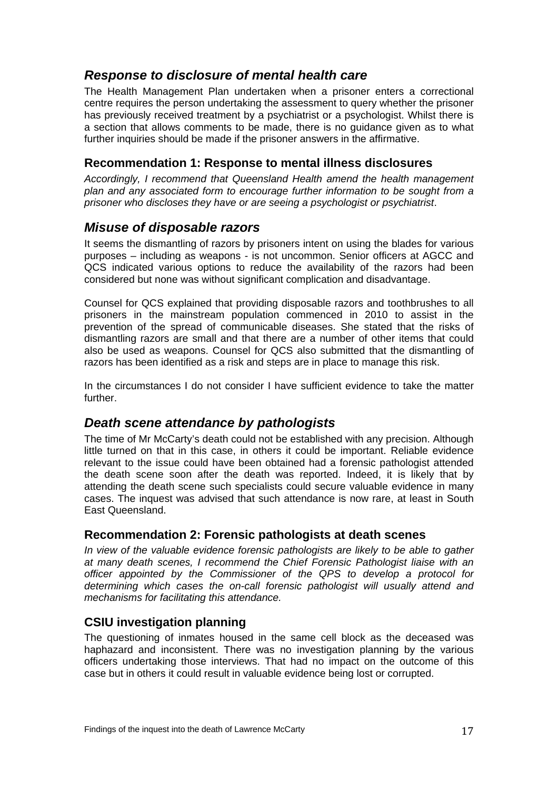## <span id="page-17-0"></span>*Response to disclosure of mental health care*

The Health Management Plan undertaken when a prisoner enters a correctional centre requires the person undertaking the assessment to query whether the prisoner has previously received treatment by a psychiatrist or a psychologist. Whilst there is a section that allows comments to be made, there is no guidance given as to what further inquiries should be made if the prisoner answers in the affirmative.

#### **Recommendation 1: Response to mental illness disclosures**

*Accordingly, I recommend that Queensland Health amend the health management plan and any associated form to encourage further information to be sought from a prisoner who discloses they have or are seeing a psychologist or psychiatrist*.

#### *Misuse of disposable razors*

It seems the dismantling of razors by prisoners intent on using the blades for various purposes – including as weapons - is not uncommon. Senior officers at AGCC and QCS indicated various options to reduce the availability of the razors had been considered but none was without significant complication and disadvantage.

Counsel for QCS explained that providing disposable razors and toothbrushes to all prisoners in the mainstream population commenced in 2010 to assist in the prevention of the spread of communicable diseases. She stated that the risks of dismantling razors are small and that there are a number of other items that could also be used as weapons. Counsel for QCS also submitted that the dismantling of razors has been identified as a risk and steps are in place to manage this risk.

In the circumstances I do not consider I have sufficient evidence to take the matter further.

### *Death scene attendance by pathologists*

The time of Mr McCarty's death could not be established with any precision. Although little turned on that in this case, in others it could be important. Reliable evidence relevant to the issue could have been obtained had a forensic pathologist attended the death scene soon after the death was reported. Indeed, it is likely that by attending the death scene such specialists could secure valuable evidence in many cases. The inquest was advised that such attendance is now rare, at least in South East Queensland.

#### **Recommendation 2: Forensic pathologists at death scenes**

*In view of the valuable evidence forensic pathologists are likely to be able to gather at many death scenes, I recommend the Chief Forensic Pathologist liaise with an officer appointed by the Commissioner of the QPS to develop a protocol for determining which cases the on-call forensic pathologist will usually attend and mechanisms for facilitating this attendance.* 

#### **CSIU investigation planning**

The questioning of inmates housed in the same cell block as the deceased was haphazard and inconsistent. There was no investigation planning by the various officers undertaking those interviews. That had no impact on the outcome of this case but in others it could result in valuable evidence being lost or corrupted.